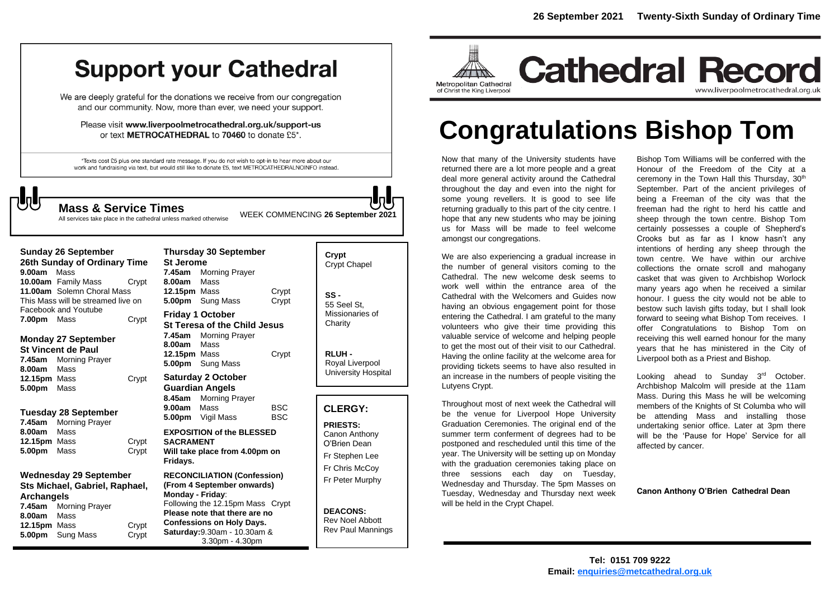# **Support your Cathedral**

We are deeply grateful for the donations we receive from our congregation and our community. Now, more than ever, we need your support.

Please visit www.liverpoolmetrocathedral.org.uk/support-us or text METROCATHEDRAL to 70460 to donate £5\*.

\*Texts cost £5 plus one standard rate message. If you do not wish to opt-in to hear more about our work and fundraising via text, but would still like to donate £5, text METROCATHEDRALNOINFO instead.

WEEK COMMENCING **<sup>26</sup> September <sup>2021</sup> Mass & Service Times**

All services take place in the cathedral unless marked otherwise

## **Sunday 26 September 26th Sunday of Ordinary Time 9.00am** Mass **10.00am** Family Mass Crypt **11.00am** Solemn Choral Mass This Mass will be streamed live on Facebook and Youtube **7.00pm** Mass Crypt

#### **Monday 27 September St Vincent de Paul**

**7.45am** Morning Prayer **8.00am** Mass **12.15pm** Mass **Crypt 5.00pm** Mass

# **Tuesday 28 September**

| 7.45am       | <b>Morning Prayer</b> |       |
|--------------|-----------------------|-------|
| 8.00am       | Mass                  |       |
| 12.15pm Mass |                       | Crypt |
| 5.00pm Mass  |                       | Crypt |

# **Wednesday 29 September Sts Michael, Gabriel, Raphael, Archangels**

| 7.45am       | <b>Morning Prayer</b>   |       |
|--------------|-------------------------|-------|
| 8.00am       | Mass                    |       |
| 12.15pm Mass |                         | Crypt |
|              | <b>5.00pm</b> Sung Mass | Crypt |

|                                    | Thursday 30 September               |            |  |  |  |
|------------------------------------|-------------------------------------|------------|--|--|--|
| St Jerome                          |                                     |            |  |  |  |
|                                    | 7.45am Morning Prayer               |            |  |  |  |
| <b>8.00am</b> Mass                 |                                     |            |  |  |  |
| <b>12.15pm</b> Mass                |                                     | Crypt      |  |  |  |
|                                    | 5.00pm Sung Mass                    | Crypt      |  |  |  |
| Friday 1 October                   |                                     |            |  |  |  |
|                                    | <b>St Teresa of the Child Jesus</b> |            |  |  |  |
|                                    | 7.45am Morning Prayer               |            |  |  |  |
| <b>8.00am</b> Mass                 |                                     |            |  |  |  |
| 12.15pm Mass                       |                                     | Crypt      |  |  |  |
|                                    | 5.00pm Sung Mass                    |            |  |  |  |
| <b>Saturday 2 October</b>          |                                     |            |  |  |  |
| <b>Guardian Angels</b>             |                                     |            |  |  |  |
|                                    | 8.45am Morning Prayer               |            |  |  |  |
| 9.00am Mass                        |                                     | <b>BSC</b> |  |  |  |
|                                    | 5.00pm Vigil Mass                   | BSC.       |  |  |  |
| <b>EXPOSITION of the BLESSED</b>   |                                     |            |  |  |  |
| <b>SACRAMENT</b>                   |                                     |            |  |  |  |
| Will take place from 4.00pm on     |                                     |            |  |  |  |
| Fridays.                           |                                     |            |  |  |  |
| <b>DECONCILIATION (Confeccion)</b> |                                     |            |  |  |  |

#### **RECONCILIATION (Confession) (From 4 September onwards) Monday - Friday**: Following the 12.15pm Mass Crypt **Please note that there are no Confessions on Holy Days. Saturday:**9.30am - 10.30am & 3.30pm - 4.30pm

| Crypt<br><b>Crypt Chapel</b>           |  |
|----------------------------------------|--|
| SS -<br>55 Seel St.<br>Missionaries of |  |

**Charity** 

**RLUH -** Royal Liverpool University Hospital

# **CLERGY:**

**PRIESTS:** Canon Anthony O'Brien *Dean* Fr Stephen Lee Fr Chris McCoy Fr Peter Murphy

**DEACONS:** Rev Noel Abbott Rev Paul Mannings



# **Congratulations Bishop Tom**

Now that many of the University students have returned there are a lot more people and a great deal more general activity around the Cathedral throughout the day and even into the night for some young revellers. It is good to see life returning gradually to this part of the city centre. I hope that any new students who may be joining need to feel welcome<br>
amongst our congregations. amongst our congregations.

We are also experiencing a gradual increase in the number of general visitors coming to the Cathedral. The new welcome desk seems to work well within the entrance area of the Cathedral with the Welcomers and Guides now having an obvious engagement point for those entering the Cathedral. I am grateful to the many volunteers who give their time providing this valuable service of welcome and helping people to get the most out of their visit to our Cathedral. Having the online facility at the welcome area for providing tickets seems to have also resulted in an increase in the numbers of people visiting the Lutyens Crypt.

Throughout most of next week the Cathedral will be the venue for Liverpool Hope University Graduation Ceremonies. The original end of the summer term conferment of degrees had to be postponed and rescheduled until this time of the year. The University will be setting up on Monday with the graduation ceremonies taking place on three sessions each day on Tuesday, Wednesday and Thursday. The 5pm Masses on Tuesday, Wednesday and Thursday next week will be held in the Crypt Chapel.

Bishop Tom Williams will be conferred with the Honour of the Freedom of the City at a ceremony in the Town Hall this Thursday, 30<sup>th</sup> September. Part of the ancient privileges of being a Freeman of the city was that the freeman had the right to herd his cattle and sheep through the town centre. Bishop Tom certainly possesses a couple of Shepherd's Crooks but as far as I know hasn't any intentions of herding any sheep through the town centre. We have within our archive collections the ornate scroll and mahogany casket that was given to Archbishop Worlock many years ago when he received a similar honour. I guess the city would not be able to bestow such lavish gifts today, but I shall look forward to seeing what Bishop Tom receives. I offer Congratulations to Bishop Tom on receiving this well earned honour for the many years that he has ministered in the City of Liverpool both as a Priest and Bishop.

Looking ahead to Sunday 3rd October. Archbishop Malcolm will preside at the 11am Mass. During this Mass he will be welcoming members of the Knights of St Columba who will be attending Mass and installing those undertaking senior office. Later at 3pm there will be the 'Pause for Hope' Service for all affected by cancer.

**Canon Anthony O'Brien Cathedral Dean**